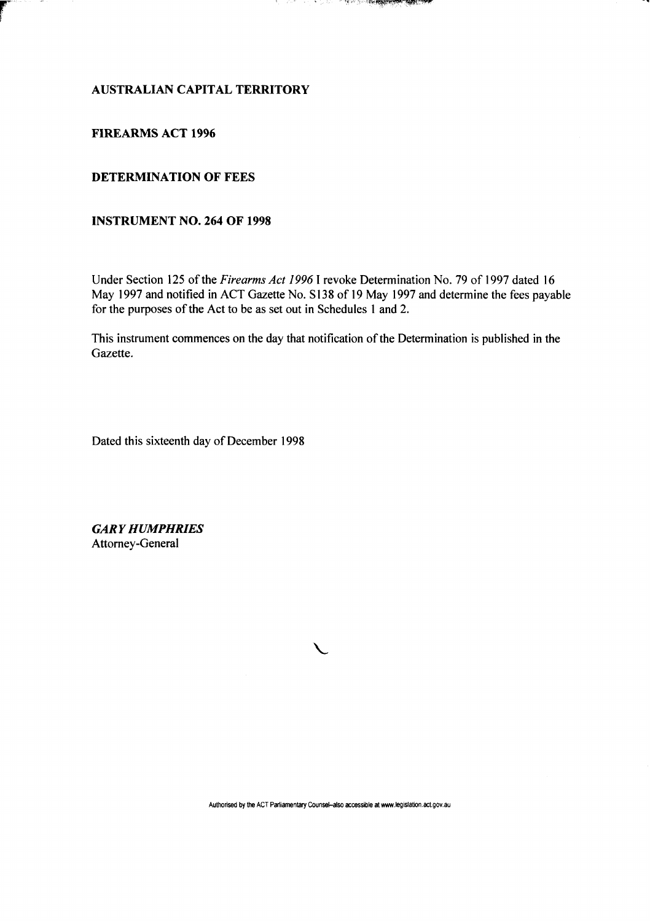#### - 54 **CONTRACT AND ASSESSED AND ARRANGEMENT OF A STATE OF THE ANNUAL STATE**

### **AUSTRALIAN CAPITAL TERRITORY**

#### **FIREARMS ACT 1996**

÷

## **DETERMINATION OF FEES**

### **INSTRUMENT NO. 264 OF 1998**

Under Section 125 of the *Firearms Act 1996* 1 revoke Determination No. 79 of 1997 dated 16 May 1997 and notified in ACT Gazette No. SI38 of 19 May 1997 and determine the fees payable for the purposes of the Act to be as set out in Schedules 1 and 2.

This instrument commences on the day that notification of the Determination is published in the Gazette.

Dated this sixteenth day of December 1998

*GARY HUMPHRIES*  Attorney-General

**V**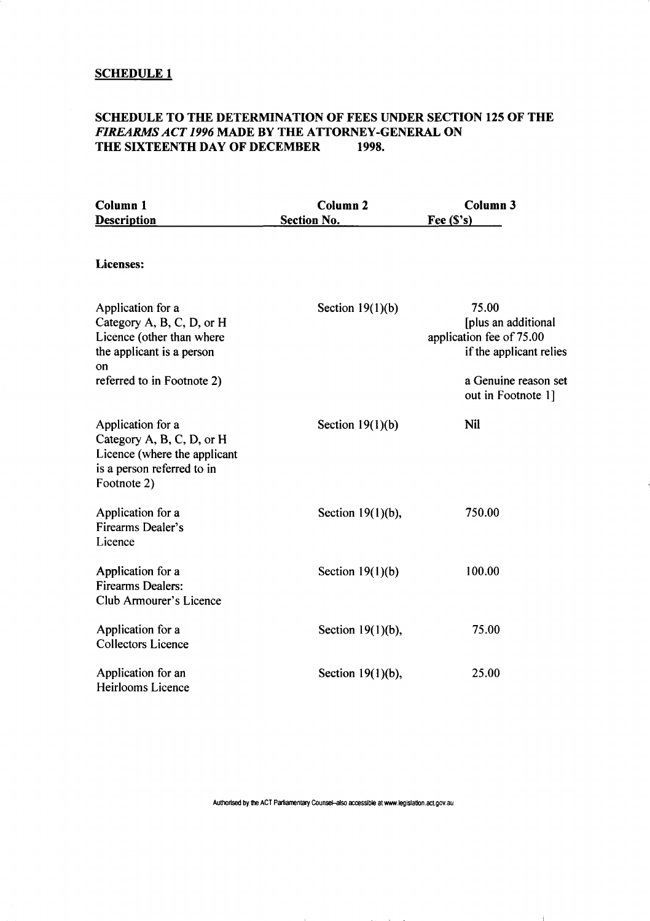#### **SCHEDULE 1**

# **SCHEDULE TO THE DETERMINATION OF FEES UNDER SECTION 125 OF THE**  *FIREARMS ACT 1996* **MADE BY THE ATTORNEY-GENERAL ON THE SIXTEENTH DAY OF DECEMBER**

| Column <sub>1</sub><br><b>Description</b>                                                                                                    | <b>Column 2</b><br><b>Section No.</b> | <b>Column 3</b><br>Fee $(S's)$                                                                              |
|----------------------------------------------------------------------------------------------------------------------------------------------|---------------------------------------|-------------------------------------------------------------------------------------------------------------|
|                                                                                                                                              |                                       |                                                                                                             |
| <b>Licenses:</b>                                                                                                                             |                                       |                                                                                                             |
| Application for a<br>Category A, B, C, D, or H<br>Licence (other than where<br>the applicant is a person<br>on<br>referred to in Footnote 2) | Section $19(1)(b)$                    | 75.00<br>[plus an additional<br>application fee of 75.00<br>if the applicant relies<br>a Genuine reason set |
|                                                                                                                                              |                                       | out in Footnote 1]                                                                                          |
| Application for a<br>Category A, B, C, D, or H<br>Licence (where the applicant<br>is a person referred to in<br>Footnote 2)                  | Section $19(1)(b)$                    | <b>Nil</b>                                                                                                  |
| Application for a<br><b>Firearms Dealer's</b><br>Licence                                                                                     | Section $19(1)(b)$ ,                  | 750.00                                                                                                      |
| Application for a<br><b>Firearms Dealers:</b><br><b>Club Armourer's Licence</b>                                                              | Section $19(1)(b)$                    | 100.00                                                                                                      |
| Application for a<br><b>Collectors Licence</b>                                                                                               | Section $19(1)(b)$ ,                  | 75.00                                                                                                       |
| Application for an<br>Heirlooms Licence                                                                                                      | Section $19(1)(b)$ ,                  | 25.00                                                                                                       |

**Authorised by the ACT Parliamentary Counsel-also accessible at www.legislation.act.gov.au** 

Ť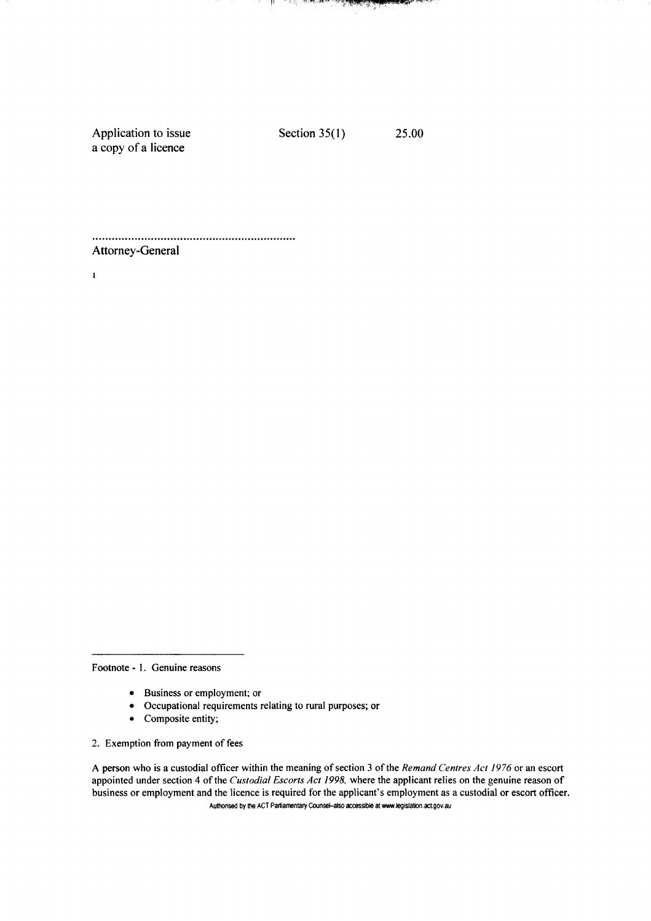Application to issue Section 35(1) 25.00 a copy of a licence

a de la companya de la <mark>della della companya</mark>

-le

**Services SAMULAR** 

Attorney-General

 $\mathbf{I}$ 

Footnote - 1. Genuine reasons

- Business or employment; or
- Occupational requirements relating to rural purposes; or
- Composite entity;

2. Exemption from payment of fees

A person who is a custodial officer within the meaning of section 3 of the *Remand Centres Act 1976* or an escort appointed under section 4 of the *Custodial Escorts Act 1998,* where the applicant relies on the genuine reason of business or employment and the licence is required for the applicant's employment as a custodial or escort officer. Authorised by the ACT Parliamentary Counsel-also accessible at www.legislation.act.gov.au